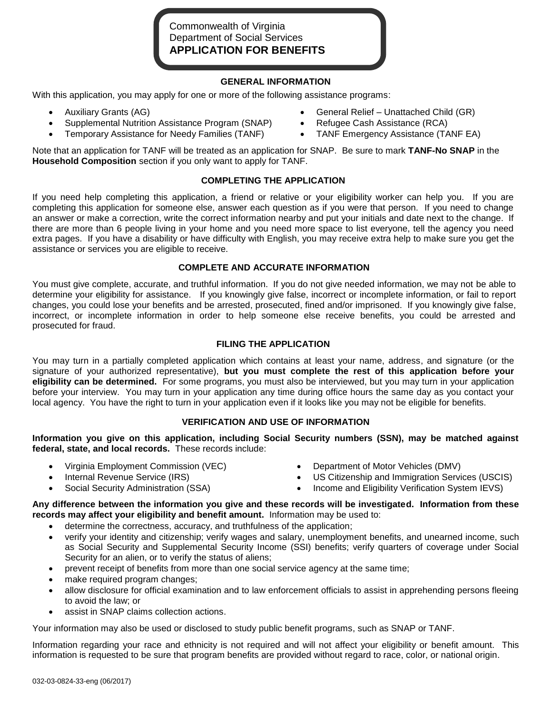# Commonwealth of Virginia Department of Social Services **APPLICATION FOR BENEFITS**

## **GENERAL INFORMATION**

With this application, you may apply for one or more of the following assistance programs:

- 
- Supplemental Nutrition Assistance Program (SNAP) Refugee Cash Assistance (RCA)
- Temporary Assistance for Needy Families (TANF) TANF Emergency Assistance (TANF EA)
- Auxiliary Grants (AG) General Relief Unattached Child (GR)
	-
	-

Note that an application for TANF will be treated as an application for SNAP. Be sure to mark **TANF-No SNAP** in the **Household Composition** section if you only want to apply for TANF.

# **COMPLETING THE APPLICATION**

If you need help completing this application, a friend or relative or your eligibility worker can help you. If you are completing this application for someone else, answer each question as if you were that person. If you need to change an answer or make a correction, write the correct information nearby and put your initials and date next to the change. If there are more than 6 people living in your home and you need more space to list everyone, tell the agency you need extra pages. If you have a disability or have difficulty with English, you may receive extra help to make sure you get the assistance or services you are eligible to receive.

# **COMPLETE AND ACCURATE INFORMATION**

You must give complete, accurate, and truthful information. If you do not give needed information, we may not be able to determine your eligibility for assistance. If you knowingly give false, incorrect or incomplete information, or fail to report changes, you could lose your benefits and be arrested, prosecuted, fined and/or imprisoned. If you knowingly give false, incorrect, or incomplete information in order to help someone else receive benefits, you could be arrested and prosecuted for fraud.

# **FILING THE APPLICATION**

You may turn in a partially completed application which contains at least your name, address, and signature (or the signature of your authorized representative), **but you must complete the rest of this application before your eligibility can be determined.** For some programs, you must also be interviewed, but you may turn in your application before your interview. You may turn in your application any time during office hours the same day as you contact your local agency. You have the right to turn in your application even if it looks like you may not be eligible for benefits.

# **VERIFICATION AND USE OF INFORMATION**

**Information you give on this application, including Social Security numbers (SSN), may be matched against federal, state, and local records.** These records include:

- 
- 
- 
- Virginia Employment Commission (VEC) **Department of Motor Vehicles (DMV)**
- Internal Revenue Service (IRS) US Citizenship and Immigration Services (USCIS)
- Social Security Administration (SSA) **Income and Eligibility Verification System IEVS**)

**Any difference between the information you give and these records will be investigated. Information from these records may affect your eligibility and benefit amount.** Information may be used to:

- determine the correctness, accuracy, and truthfulness of the application;
- verify your identity and citizenship; verify wages and salary, unemployment benefits, and unearned income, such as Social Security and Supplemental Security Income (SSI) benefits; verify quarters of coverage under Social Security for an alien, or to verify the status of aliens;
- prevent receipt of benefits from more than one social service agency at the same time;
- make required program changes;
- allow disclosure for official examination and to law enforcement officials to assist in apprehending persons fleeing to avoid the law; or
- assist in SNAP claims collection actions.

Your information may also be used or disclosed to study public benefit programs, such as SNAP or TANF.

Information regarding your race and ethnicity is not required and will not affect your eligibility or benefit amount. This information is requested to be sure that program benefits are provided without regard to race, color, or national origin.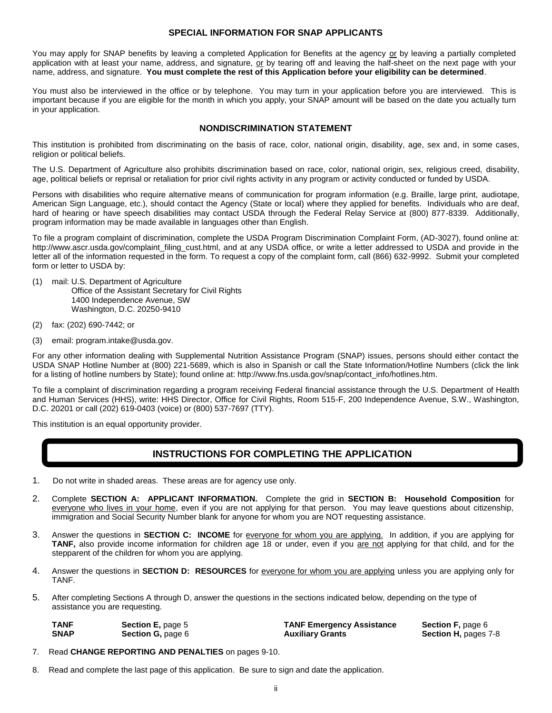### **SPECIAL INFORMATION FOR SNAP APPLICANTS**

You may apply for SNAP benefits by leaving a completed Application for Benefits at the agency or by leaving a partially completed application with at least your name, address, and signature, or by tearing off and leaving the half-sheet on the next page with your name, address, and signature. **You must complete the rest of this Application before your eligibility can be determined**.

You must also be interviewed in the office or by telephone. You may turn in your application before you are interviewed. This is important because if you are eligible for the month in which you apply, your SNAP amount will be based on the date you actually turn in your application.

#### **NONDISCRIMINATION STATEMENT**

This institution is prohibited from discriminating on the basis of race, color, national origin, disability, age, sex and, in some cases, religion or political beliefs.

The U.S. Department of Agriculture also prohibits discrimination based on race, color, national origin, sex, religious creed, disability, age, political beliefs or reprisal or retaliation for prior civil rights activity in any program or activity conducted or funded by USDA.

Persons with disabilities who require alternative means of communication for program information (e.g. Braille, large print, audiotape, American Sign Language, etc.), should contact the Agency (State or local) where they applied for benefits. Individuals who are deaf, hard of hearing or have speech disabilities may contact USDA through the Federal Relay Service at (800) 877-8339. Additionally, program information may be made available in languages other than English.

To file a program complaint of discrimination, complete the USDA Program Discrimination Complaint Form, (AD-3027), found online at: http://www.ascr.usda.gov/complaint\_filing\_cust.html, and at any USDA office, or write a letter addressed to USDA and provide in the letter all of the information requested in the form. To request a copy of the complaint form, call (866) 632-9992. Submit your completed form or letter to USDA by:

- (1) mail: U.S. Department of Agriculture Office of the Assistant Secretary for Civil Rights 1400 Independence Avenue, SW Washington, D.C. 20250-9410
- (2) fax: (202) 690-7442; or
- (3) email: program.intake@usda.gov.

For any other information dealing with Supplemental Nutrition Assistance Program (SNAP) issues, persons should either contact the USDA SNAP Hotline Number at (800) 221-5689, which is also in Spanish or call the State Information/Hotline Numbers (click the link for a listing of hotline numbers by State); found online at: http://www.fns.usda.gov/snap/contact\_info/hotlines.htm.

To file a complaint of discrimination regarding a program receiving Federal financial assistance through the U.S. Department of Health and Human Services (HHS), write: HHS Director, Office for Civil Rights, Room 515-F, 200 Independence Avenue, S.W., Washington, D.C. 20201 or call (202) 619-0403 (voice) or (800) 537-7697 (TTY).

This institution is an equal opportunity provider.

# **INSTRUCTIONS FOR COMPLETING THE APPLICATION**

- 1. Do not write in shaded areas. These areas are for agency use only.
- 2. Complete **SECTION A: APPLICANT INFORMATION.** Complete the grid in **SECTION B: Household Composition** for everyone who lives in your home, even if you are not applying for that person. You may leave questions about citizenship, immigration and Social Security Number blank for anyone for whom you are NOT requesting assistance.
- 3. Answer the questions in **SECTION C: INCOME** for everyone for whom you are applying. In addition, if you are applying for **TANF,** also provide income information for children age 18 or under, even if you are not applying for that child, and for the stepparent of the children for whom you are applying.
- 4. Answer the questions in **SECTION D: RESOURCES** for everyone for whom you are applying unless you are applying only for TANF.
- 5. After completing Sections A through D, answer the questions in the sections indicated below, depending on the type of assistance you are requesting.

| TANF | <b>Section E, page 5</b> | <b>TANF Emergency Assistance</b> | <b>Section F, page 6</b>    |
|------|--------------------------|----------------------------------|-----------------------------|
| SNAP | <b>Section G, page 6</b> | <b>Auxiliary Grants</b>          | <b>Section H, pages 7-8</b> |
|      |                          |                                  |                             |

- 7. Read **CHANGE REPORTING AND PENALTIES** on pages 9-10.
- 8. Read and complete the last page of this application. Be sure to sign and date the application.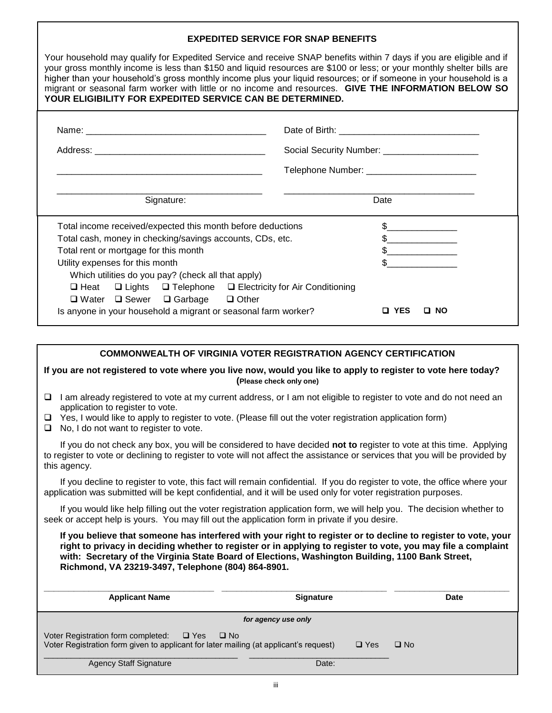| <b>EXPEDITED SERVICE FOR SNAP BENEFITS</b>                                                                                                                                                                                                                                                                                                                                                                                                                                                                                                |                                                |  |  |  |  |  |
|-------------------------------------------------------------------------------------------------------------------------------------------------------------------------------------------------------------------------------------------------------------------------------------------------------------------------------------------------------------------------------------------------------------------------------------------------------------------------------------------------------------------------------------------|------------------------------------------------|--|--|--|--|--|
| Your household may qualify for Expedited Service and receive SNAP benefits within 7 days if you are eligible and if<br>your gross monthly income is less than \$150 and liquid resources are \$100 or less; or your monthly shelter bills are<br>higher than your household's gross monthly income plus your liquid resources; or if someone in your household is a<br>migrant or seasonal farm worker with little or no income and resources. GIVE THE INFORMATION BELOW SO<br>YOUR ELIGIBILITY FOR EXPEDITED SERVICE CAN BE DETERMINED. |                                                |  |  |  |  |  |
|                                                                                                                                                                                                                                                                                                                                                                                                                                                                                                                                           |                                                |  |  |  |  |  |
|                                                                                                                                                                                                                                                                                                                                                                                                                                                                                                                                           | Social Security Number: ______________________ |  |  |  |  |  |
|                                                                                                                                                                                                                                                                                                                                                                                                                                                                                                                                           | Telephone Number: ___________________________  |  |  |  |  |  |
| Signature:                                                                                                                                                                                                                                                                                                                                                                                                                                                                                                                                | Date                                           |  |  |  |  |  |
| Total income received/expected this month before deductions                                                                                                                                                                                                                                                                                                                                                                                                                                                                               |                                                |  |  |  |  |  |
| Total cash, money in checking/savings accounts, CDs, etc.                                                                                                                                                                                                                                                                                                                                                                                                                                                                                 |                                                |  |  |  |  |  |
| Total rent or mortgage for this month                                                                                                                                                                                                                                                                                                                                                                                                                                                                                                     |                                                |  |  |  |  |  |
| Utility expenses for this month                                                                                                                                                                                                                                                                                                                                                                                                                                                                                                           |                                                |  |  |  |  |  |
| Which utilities do you pay? (check all that apply)                                                                                                                                                                                                                                                                                                                                                                                                                                                                                        |                                                |  |  |  |  |  |
| $\Box$ Heat $\Box$ Lights $\Box$ Telephone $\Box$ Electricity for Air Conditioning                                                                                                                                                                                                                                                                                                                                                                                                                                                        |                                                |  |  |  |  |  |
| $\Box$ Water $\Box$ Sewer $\Box$ Garbage $\Box$ Other                                                                                                                                                                                                                                                                                                                                                                                                                                                                                     |                                                |  |  |  |  |  |
| Is anyone in your household a migrant or seasonal farm worker?                                                                                                                                                                                                                                                                                                                                                                                                                                                                            | <b>D</b> YES<br>$\Box$ NO                      |  |  |  |  |  |

|                                                                                                                                                                                                                                                                                                                                                                                           | <b>COMMONWEALTH OF VIRGINIA VOTER REGISTRATION AGENCY CERTIFICATION</b>                                                                                                                                                                                            |                            |           |  |  |  |  |  |
|-------------------------------------------------------------------------------------------------------------------------------------------------------------------------------------------------------------------------------------------------------------------------------------------------------------------------------------------------------------------------------------------|--------------------------------------------------------------------------------------------------------------------------------------------------------------------------------------------------------------------------------------------------------------------|----------------------------|-----------|--|--|--|--|--|
|                                                                                                                                                                                                                                                                                                                                                                                           | If you are not registered to vote where you live now, would you like to apply to register to vote here today?<br>(Please check only one)                                                                                                                           |                            |           |  |  |  |  |  |
| ◻                                                                                                                                                                                                                                                                                                                                                                                         | I am already registered to vote at my current address, or I am not eligible to register to vote and do not need an                                                                                                                                                 |                            |           |  |  |  |  |  |
| □                                                                                                                                                                                                                                                                                                                                                                                         | application to register to vote.<br>$\Box$ Yes, I would like to apply to register to vote. (Please fill out the voter registration application form)<br>No, I do not want to register to vote.                                                                     |                            |           |  |  |  |  |  |
|                                                                                                                                                                                                                                                                                                                                                                                           | If you do not check any box, you will be considered to have decided not to register to vote at this time. Applying<br>to register to vote or declining to register to vote will not affect the assistance or services that you will be provided by<br>this agency. |                            |           |  |  |  |  |  |
|                                                                                                                                                                                                                                                                                                                                                                                           | If you decline to register to vote, this fact will remain confidential. If you do register to vote, the office where your<br>application was submitted will be kept confidential, and it will be used only for voter registration purposes.                        |                            |           |  |  |  |  |  |
|                                                                                                                                                                                                                                                                                                                                                                                           | If you would like help filling out the voter registration application form, we will help you. The decision whether to<br>seek or accept help is yours. You may fill out the application form in private if you desire.                                             |                            |           |  |  |  |  |  |
| If you believe that someone has interfered with your right to register or to decline to register to vote, your<br>right to privacy in deciding whether to register or in applying to register to vote, you may file a complaint<br>with: Secretary of the Virginia State Board of Elections, Washington Building, 1100 Bank Street,<br>Richmond, VA 23219-3497, Telephone (804) 864-8901. |                                                                                                                                                                                                                                                                    |                            |           |  |  |  |  |  |
|                                                                                                                                                                                                                                                                                                                                                                                           | <b>Applicant Name</b><br>Signature<br><b>Date</b>                                                                                                                                                                                                                  |                            |           |  |  |  |  |  |
|                                                                                                                                                                                                                                                                                                                                                                                           | for agency use only                                                                                                                                                                                                                                                |                            |           |  |  |  |  |  |
|                                                                                                                                                                                                                                                                                                                                                                                           | Voter Registration form completed:<br>$\Box$ Yes<br>Voter Registration form given to applicant for later mailing (at applicant's request)                                                                                                                          | $\square$ No<br>$\Box$ Yes | $\Box$ No |  |  |  |  |  |

Agency Staff Signature Date: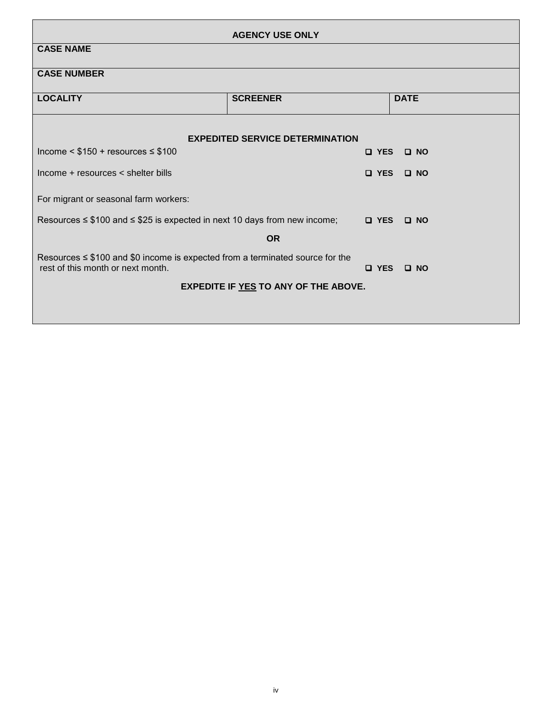| <b>AGENCY USE ONLY</b>                                                                                                                                |                                        |  |               |             |            |  |  |  |
|-------------------------------------------------------------------------------------------------------------------------------------------------------|----------------------------------------|--|---------------|-------------|------------|--|--|--|
| <b>CASE NAME</b>                                                                                                                                      |                                        |  |               |             |            |  |  |  |
| <b>CASE NUMBER</b>                                                                                                                                    |                                        |  |               |             |            |  |  |  |
| <b>LOCALITY</b>                                                                                                                                       | <b>SCREENER</b>                        |  |               | <b>DATE</b> |            |  |  |  |
|                                                                                                                                                       |                                        |  |               |             |            |  |  |  |
| Income $\leq$ \$150 + resources $\leq$ \$100                                                                                                          | <b>EXPEDITED SERVICE DETERMINATION</b> |  | $\square$ YES |             | $\Box$ NO  |  |  |  |
|                                                                                                                                                       |                                        |  |               |             |            |  |  |  |
| Income + resources < shelter bills                                                                                                                    |                                        |  | $\Box$ YES    |             | $\Box$ NO  |  |  |  |
| For migrant or seasonal farm workers:                                                                                                                 |                                        |  |               |             |            |  |  |  |
| Resources $\leq$ \$100 and $\leq$ \$25 is expected in next 10 days from new income;                                                                   |                                        |  |               |             | O YES O NO |  |  |  |
|                                                                                                                                                       | <b>OR</b>                              |  |               |             |            |  |  |  |
| Resources $\leq$ \$100 and \$0 income is expected from a terminated source for the<br>rest of this month or next month.<br>$\Box$ YES<br>$\square$ NO |                                        |  |               |             |            |  |  |  |
|                                                                                                                                                       | EXPEDITE IF YES TO ANY OF THE ABOVE.   |  |               |             |            |  |  |  |
|                                                                                                                                                       |                                        |  |               |             |            |  |  |  |
|                                                                                                                                                       |                                        |  |               |             |            |  |  |  |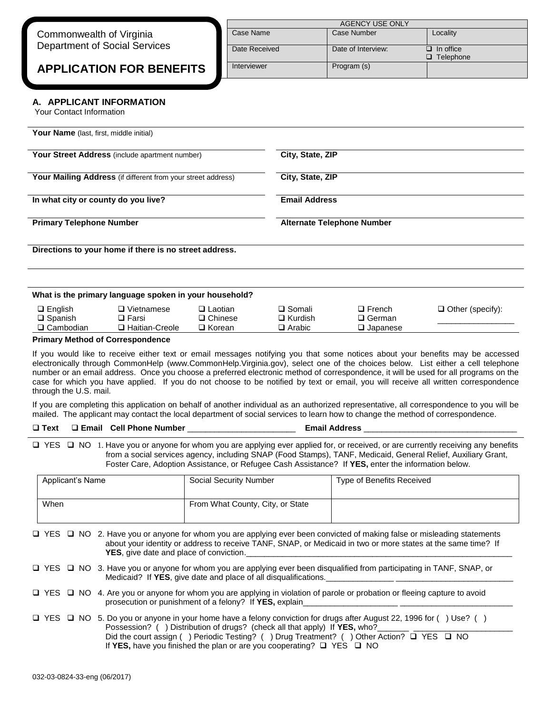| Commonwealth of Virginia             |  |
|--------------------------------------|--|
| <b>Department of Social Services</b> |  |

**APPLICATION FOR BENEFITS**

| AGENCY USE ONLY |                             |          |  |  |  |  |  |
|-----------------|-----------------------------|----------|--|--|--|--|--|
| Case Name       | Case Number                 | Locality |  |  |  |  |  |
| Date Received   | In office<br>□<br>Telephone |          |  |  |  |  |  |
| Interviewer     | Program (s)                 |          |  |  |  |  |  |

## **A. APPLICANT INFORMATION**

Your Contact Information

|                                                                                                     | <b>Your Name</b> (last, first, middle initial)         |                |                                          |               |                         |  |
|-----------------------------------------------------------------------------------------------------|--------------------------------------------------------|----------------|------------------------------------------|---------------|-------------------------|--|
|                                                                                                     | Your Street Address (include apartment number)         |                | City, State, ZIP                         |               |                         |  |
| Your Mailing Address (if different from your street address)<br>In what city or county do you live? |                                                        |                | City, State, ZIP<br><b>Email Address</b> |               |                         |  |
|                                                                                                     |                                                        |                |                                          |               |                         |  |
| <b>Primary Telephone Number</b>                                                                     |                                                        |                |                                          |               |                         |  |
|                                                                                                     |                                                        |                | <b>Alternate Telephone Number</b>        |               |                         |  |
|                                                                                                     | Directions to your home if there is no street address. |                |                                          |               |                         |  |
|                                                                                                     | What is the primary language spoken in your household? |                |                                          |               |                         |  |
| $\Box$ English                                                                                      | $\Box$ Vietnamese                                      | $\Box$ Laotian | $\square$ Somali                         | $\Box$ French | $\Box$ Other (specify): |  |
| $\square$ Spanish                                                                                   | $\Box$ Farsi                                           | $\Box$ Chinese | $\Box$ Kurdish                           | $\Box$ German |                         |  |

If you would like to receive either text or email messages notifying you that some notices about your benefits may be accessed electronically through CommonHelp (www.CommonHelp.Virginia.gov), select one of the choices below. List either a cell telephone number or an email address. Once you choose a preferred electronic method of correspondence, it will be used for all programs on the case for which you have applied. If you do not choose to be notified by text or email, you will receive all written correspondence through the U.S. mail.

If you are completing this application on behalf of another individual as an authorized representative, all correspondence to you will be mailed. The applicant may contact the local department of social services to learn how to change the method of correspondence.

#### **Text Email Cell Phone Number** \_\_\_\_\_\_\_\_\_\_\_\_\_\_\_\_\_\_\_\_\_\_\_\_ **Email Address** \_\_\_\_\_\_\_\_\_\_\_\_\_\_\_\_\_\_\_\_\_\_\_\_\_\_\_\_\_\_\_\_\_\_

□ YES □ NO 1. Have you or anyone for whom you are applying ever applied for, or received, or are currently receiving any benefits from a social services agency, including SNAP (Food Stamps), TANF, Medicaid, General Relief, Auxiliary Grant, Foster Care, Adoption Assistance, or Refugee Cash Assistance? If **YES,** enter the information below.

| Applicant's Name | Social Security Number           | Type of Benefits Received |
|------------------|----------------------------------|---------------------------|
| When             | From What County, City, or State |                           |

□ YES □ NO 2. Have you or anyone for whom you are applying ever been convicted of making false or misleading statements about your identity or address to receive TANF, SNAP, or Medicaid in two or more states at the same time? If YES, give date and place of conviction.

- □ YES □ NO 3. Have you or anyone for whom you are applying ever been disqualified from participating in TANF, SNAP, or Medicaid? If **YES**, give date and place of all disqualifications.
- □ YES □ NO 4. Are you or anyone for whom you are applying in violation of parole or probation or fleeing capture to avoid prosecution or punishment of a felony? If YES, explain
- $\Box$  YES  $\Box$  NO 5. Do you or anyone in your home have a felony conviction for drugs after August 22, 1996 for () Use? () Possession? ( ) Distribution of drugs? (check all that apply) If **YES**, who? Did the court assign ( ) Periodic Testing? ( ) Drug Treatment? ( ) Other Action? □ YES □ NO If YES, have you finished the plan or are you cooperating?  $\Box$  YES  $\Box$  NO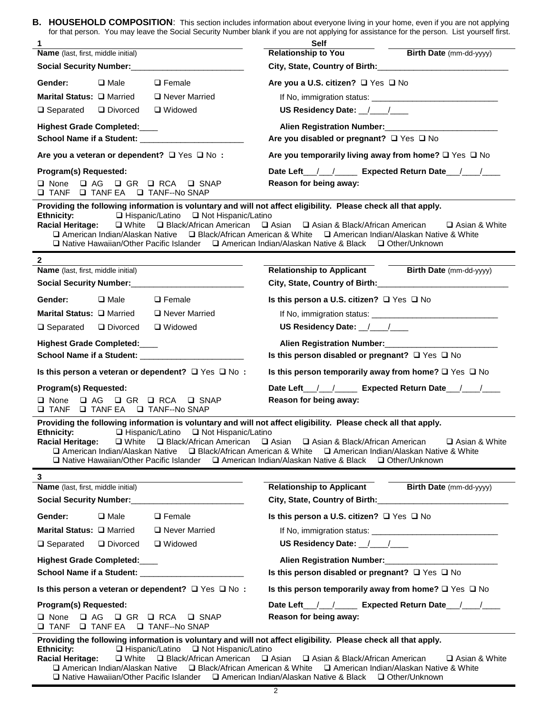**B. HOUSEHOLD COMPOSITION**: This section includes information about everyone living in your home, even if you are not applying for that person. You may leave the Social Security Number blank if you are not applying for assistance for the person. List yourself first.

| 1                                                                                                                                                                                                                                                                      | <b>Self</b>                                                                                                                                                                                                                                                         |  |  |  |  |
|------------------------------------------------------------------------------------------------------------------------------------------------------------------------------------------------------------------------------------------------------------------------|---------------------------------------------------------------------------------------------------------------------------------------------------------------------------------------------------------------------------------------------------------------------|--|--|--|--|
| <b>Name</b> (last, first, middle initial)                                                                                                                                                                                                                              | <b>Relationship to You</b><br>Birth Date (mm-dd-yyyy)                                                                                                                                                                                                               |  |  |  |  |
|                                                                                                                                                                                                                                                                        | City, State, Country of Birth: 2000 2010 2020 2021                                                                                                                                                                                                                  |  |  |  |  |
| $\Box$ Female<br>Gender:<br>$\square$ Male                                                                                                                                                                                                                             | Are you a U.S. citizen? □ Yes □ No                                                                                                                                                                                                                                  |  |  |  |  |
| Marital Status: □ Married<br>□ Never Married                                                                                                                                                                                                                           |                                                                                                                                                                                                                                                                     |  |  |  |  |
| $\Box$ Separated $\Box$ Divorced<br>□ Widowed                                                                                                                                                                                                                          | US Residency Date: \[\sqrtdgg \]                                                                                                                                                                                                                                    |  |  |  |  |
| <b>Highest Grade Completed:</b>                                                                                                                                                                                                                                        | Alien Registration Number:<br>1980 - Paris London, Manuel and Paris Press, and Paris Press, and Paris Press, and Press, and Press, and Press, and Press, and Press, and Press, and Press, and Press, and Press, and Press, and P                                    |  |  |  |  |
| School Name if a Student: _______________________                                                                                                                                                                                                                      | Are you disabled or pregnant? □ Yes □ No                                                                                                                                                                                                                            |  |  |  |  |
| Are you a veteran or dependent? $\Box$ Yes $\Box$ No :                                                                                                                                                                                                                 | Are you temporarily living away from home? $\square$ Yes $\square$ No                                                                                                                                                                                               |  |  |  |  |
| Program(s) Requested:                                                                                                                                                                                                                                                  | Date Left <u>/ / Letzu Biotected</u> Return Date <b>Note</b> 1                                                                                                                                                                                                      |  |  |  |  |
| □ None □ AG □ GR □ RCA □ SNAP<br><b>Q TANF Q TANF EA Q TANF--No SNAP</b>                                                                                                                                                                                               | Reason for being away:                                                                                                                                                                                                                                              |  |  |  |  |
| Providing the following information is voluntary and will not affect eligibility. Please check all that apply.                                                                                                                                                         |                                                                                                                                                                                                                                                                     |  |  |  |  |
| □ Hispanic/Latino □ Not Hispanic/Latino<br><b>Ethnicity:</b><br><b>Racial Heritage:</b><br>□ Native Hawaiian/Other Pacific Islander □ American Indian/Alaskan Native & Black □ Other/Unknown                                                                           | $\Box$ White $\Box$ Black/African American $\Box$ Asian $\Box$ Asian & Black/African American<br>□ Asian & White<br>□ American Indian/Alaskan Native □ Black/African American & White □ American Indian/Alaskan Native & White                                      |  |  |  |  |
| $\mathbf{2}$                                                                                                                                                                                                                                                           |                                                                                                                                                                                                                                                                     |  |  |  |  |
| <b>Name</b> (last, first, middle initial)                                                                                                                                                                                                                              | Relationship to Applicant Birth Date (mm-dd-yyyy)                                                                                                                                                                                                                   |  |  |  |  |
| Social Security Number:<br>Social Security Number:<br>1988.                                                                                                                                                                                                            | City, State, Country of Birth: ______________________                                                                                                                                                                                                               |  |  |  |  |
| Gender:<br>$\square$ Male<br>$\Box$ Female                                                                                                                                                                                                                             | Is this person a U.S. citizen? $\Box$ Yes $\Box$ No                                                                                                                                                                                                                 |  |  |  |  |
| Marital Status: □ Married<br>□ Never Married                                                                                                                                                                                                                           |                                                                                                                                                                                                                                                                     |  |  |  |  |
| $\Box$ Separated $\Box$ Divorced<br>□ Widowed                                                                                                                                                                                                                          | US Residency Date: //////                                                                                                                                                                                                                                           |  |  |  |  |
| <b>Highest Grade Completed:</b>                                                                                                                                                                                                                                        | Alien Registration Number: _____________                                                                                                                                                                                                                            |  |  |  |  |
| School Name if a Student: ___________                                                                                                                                                                                                                                  | Is this person disabled or pregnant? □ Yes □ No                                                                                                                                                                                                                     |  |  |  |  |
| Is this person a veteran or dependent? $\Box$ Yes $\Box$ No:                                                                                                                                                                                                           | Is this person temporarily away from home? $\square$ Yes $\square$ No                                                                                                                                                                                               |  |  |  |  |
| Program(s) Requested:                                                                                                                                                                                                                                                  |                                                                                                                                                                                                                                                                     |  |  |  |  |
| □ None □ AG □ GR □ RCA<br><b>Q SNAP</b><br>O TANF O TANFEA O TANF--No SNAP                                                                                                                                                                                             | Reason for being away:                                                                                                                                                                                                                                              |  |  |  |  |
| Providing the following information is voluntary and will not affect eligibility. Please check all that apply.<br>$\Box$ Hispanic/Latino $\Box$ Not Hispanic/Latino<br>Ethnicity:<br>□ Native Hawaiian/Other Pacific Islander □ American Indian/Alaskan Native & Black | Racial Heritage: $\square$ White $\square$ Black/African American $\square$ Asian & Black/African American $\square$ Asian & White<br>□ American Indian/Alaskan Native □ Black/African American & White □ American Indian/Alaskan Native & White<br>□ Other/Unknown |  |  |  |  |
| 3                                                                                                                                                                                                                                                                      |                                                                                                                                                                                                                                                                     |  |  |  |  |
| Name (last, first, middle initial)                                                                                                                                                                                                                                     | <b>Relationship to Applicant</b><br><b>Birth Date</b> (mm-dd-yyyy)                                                                                                                                                                                                  |  |  |  |  |
|                                                                                                                                                                                                                                                                        |                                                                                                                                                                                                                                                                     |  |  |  |  |
| Gender:<br>$\square$ Male<br>$\Box$ Female                                                                                                                                                                                                                             | Is this person a U.S. citizen? $\Box$ Yes $\Box$ No                                                                                                                                                                                                                 |  |  |  |  |
| Marital Status: Q Married<br>Never Married                                                                                                                                                                                                                             |                                                                                                                                                                                                                                                                     |  |  |  |  |
| $\Box$ Separated<br>Divorced<br>□ Widowed                                                                                                                                                                                                                              |                                                                                                                                                                                                                                                                     |  |  |  |  |
| <b>Highest Grade Completed:</b>                                                                                                                                                                                                                                        | Alien Registration Number:<br>1980 - Paris Barrow, and Philipp and Paris Barrow and Philipp and Philipp and Philipp and Philipp and Philipp and Philipp and Philipp and Philipp and Philipp and Philipp and Philipp and Philipp                                     |  |  |  |  |
| School Name if a Student: ________________________                                                                                                                                                                                                                     | Is this person disabled or pregnant? $\Box$ Yes $\Box$ No                                                                                                                                                                                                           |  |  |  |  |
| Is this person a veteran or dependent? $\Box$ Yes $\Box$ No:                                                                                                                                                                                                           | Is this person temporarily away from home? $\square$ Yes $\square$ No                                                                                                                                                                                               |  |  |  |  |
| Program(s) Requested:                                                                                                                                                                                                                                                  | Date Left <u>///</u> Expected Return Date ///                                                                                                                                                                                                                       |  |  |  |  |
| $\Box$ AG $\Box$ GR $\Box$ RCA<br>$\square$ None<br>□ SNAP<br>$\square$ TANF<br>□ TANF EA □ TANF--No SNAP                                                                                                                                                              | Reason for being away:                                                                                                                                                                                                                                              |  |  |  |  |
| Providing the following information is voluntary and will not affect eligibility. Please check all that apply.                                                                                                                                                         | Ethnicity: □ Hispanic/Latino □ Not Hispanic/Latino<br>Racial Heritage: □ White □ Black/African American □ Asian □ Asian & Black/African American   □ Asian & White                                                                                                  |  |  |  |  |

**Racial Heritage:** White Black/African American Asian Asian & Black/African American Asian & White □ American Indian/Alaskan Native □ Black/African American & White □ American Indian/Alaskan Native & White □ Native Hawaiian/Other Pacific Islander □ American Indian/Alaskan Native & Black □ Other/Unknown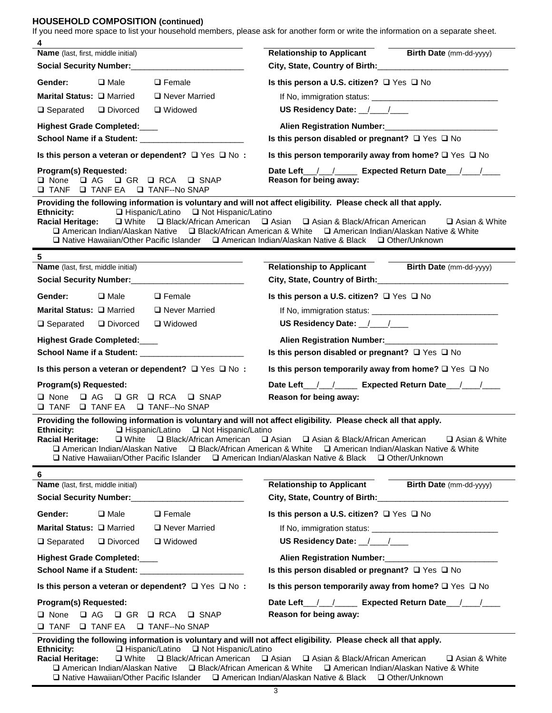# **HOUSEHOLD COMPOSITION (continued)**

If you need more space to list your household members, please ask for another form or write the information on a separate sheet.

| 4                                                                                                                                                                                                                                                                                                                                                                                 |                                                                                                                                                                                                                                        |
|-----------------------------------------------------------------------------------------------------------------------------------------------------------------------------------------------------------------------------------------------------------------------------------------------------------------------------------------------------------------------------------|----------------------------------------------------------------------------------------------------------------------------------------------------------------------------------------------------------------------------------------|
| Name (last, first, middle initial)<br>Social Security Number:<br><u> Social Security Number:</u>                                                                                                                                                                                                                                                                                  | <b>Relationship to Applicant</b><br>Birth Date (mm-dd-yyyy)<br>City, State, Country of Birth: Cambridge Management City, State, Country of Birth:                                                                                      |
| $\square$ Male<br>$\Box$ Female<br>Gender:                                                                                                                                                                                                                                                                                                                                        | Is this person a U.S. citizen? $\Box$ Yes $\Box$ No                                                                                                                                                                                    |
| Marital Status: Q Married<br>Never Married                                                                                                                                                                                                                                                                                                                                        |                                                                                                                                                                                                                                        |
| $\Box$ Separated $\Box$ Divorced<br>□ Widowed                                                                                                                                                                                                                                                                                                                                     | US Residency Date: \[\]                                                                                                                                                                                                                |
| Highest Grade Completed:                                                                                                                                                                                                                                                                                                                                                          | Alien Registration Number:<br><u> Letting and the contract of the set of the set of the set of the set of the set of the set of the set of the set of the set of the set of the set of the set of the set of the set of the set of</u> |
|                                                                                                                                                                                                                                                                                                                                                                                   | Is this person disabled or pregnant? $\Box$ Yes $\Box$ No                                                                                                                                                                              |
| Is this person a veteran or dependent? $\Box$ Yes $\Box$ No:                                                                                                                                                                                                                                                                                                                      | Is this person temporarily away from home? $\square$ Yes $\square$ No                                                                                                                                                                  |
| Program(s) Requested:<br>□ None □ AG □ GR □ RCA<br>$\square$ SNAP<br><b>Q TANF Q TANF EA Q TANF--No SNAP</b>                                                                                                                                                                                                                                                                      | Date Left <u>/ / Letz</u> Expected Return Date <u>/ / Letz</u><br>Reason for being away:                                                                                                                                               |
| Providing the following information is voluntary and will not affect eligibility. Please check all that apply.<br>□ Hispanic/Latino □ Not Hispanic/Latino<br><b>Ethnicity:</b><br>Racial Heritage: Q White Q Black/African American Q Asian Q Asian & Black/African American<br>□ Native Hawaiian/Other Pacific Islander □ American Indian/Alaskan Native & Black □ Other/Unknown | □ Asian & White<br>□ American Indian/Alaskan Native □ Black/African American & White □ American Indian/Alaskan Native & White                                                                                                          |
| 5                                                                                                                                                                                                                                                                                                                                                                                 |                                                                                                                                                                                                                                        |
| <b>Name</b> (last, first, middle initial)                                                                                                                                                                                                                                                                                                                                         | Relationship to Applicant Birth Date (mm-dd-yyyy)                                                                                                                                                                                      |
| Social Security Number:<br><u> Social Security Number:</u>                                                                                                                                                                                                                                                                                                                        |                                                                                                                                                                                                                                        |
| $\square$ Male<br>$\Box$ Female<br>Gender:                                                                                                                                                                                                                                                                                                                                        | Is this person a U.S. citizen? □ Yes □ No                                                                                                                                                                                              |
| Marital Status: Q Married<br>□ Never Married                                                                                                                                                                                                                                                                                                                                      |                                                                                                                                                                                                                                        |
| $\Box$ Separated $\Box$ Divorced<br>□ Widowed                                                                                                                                                                                                                                                                                                                                     | US Residency Date: //////                                                                                                                                                                                                              |
| <b>Highest Grade Completed:</b>                                                                                                                                                                                                                                                                                                                                                   | Alien Registration Number:<br><u> Land Alien Registration Number:</u>                                                                                                                                                                  |
| School Name if a Student: _______________________                                                                                                                                                                                                                                                                                                                                 | Is this person disabled or pregnant? $\Box$ Yes $\Box$ No                                                                                                                                                                              |
| Is this person a veteran or dependent? $\Box$ Yes $\Box$ No:                                                                                                                                                                                                                                                                                                                      | Is this person temporarily away from home? $\square$ Yes $\square$ No                                                                                                                                                                  |
| Program(s) Requested:                                                                                                                                                                                                                                                                                                                                                             | Date Left <u>///</u> Expected Return Date ///                                                                                                                                                                                          |
| <b>QAG QGR QRCA</b><br>$\square$ None<br>$\square$ SNAP<br><b>Q TANF Q TANFEA Q TANF--No SNAP</b>                                                                                                                                                                                                                                                                                 | Reason for being away:                                                                                                                                                                                                                 |
| Providing the following information is voluntary and will not affect eligibility. Please check all that apply.<br>□ Hispanic/Latino □ Not Hispanic/Latino<br><b>Ethnicity:</b><br>Racial Heritage: □ White □ Black/African American □ Asian □ Asian & Black/African American<br>□ Native Hawaiian/Other Pacific Islander □ American Indian/Alaskan Native & Black                 | □ Asian & White<br>□ American Indian/Alaskan Native □ Black/African American & White □ American Indian/Alaskan Native & White<br>□ Other/Unknown                                                                                       |
| 6                                                                                                                                                                                                                                                                                                                                                                                 |                                                                                                                                                                                                                                        |
| Name (last, first, middle initial)                                                                                                                                                                                                                                                                                                                                                | <b>Relationship to Applicant</b> Birth Date (mm-dd-yyyy)                                                                                                                                                                               |
| Social Security Number:<br><u> Social Security Number:</u>                                                                                                                                                                                                                                                                                                                        | City, State, Country of Birth: Cambridge City, State, Country of Birth:                                                                                                                                                                |
| Gender:<br>$\square$ Male<br>$\Box$ Female                                                                                                                                                                                                                                                                                                                                        | Is this person a U.S. citizen? $\Box$ Yes $\Box$ No                                                                                                                                                                                    |
| Marital Status: □ Married<br>□ Never Married                                                                                                                                                                                                                                                                                                                                      |                                                                                                                                                                                                                                        |
| □ Widowed<br>$\Box$ Separated<br>Divorced                                                                                                                                                                                                                                                                                                                                         | US Residency Date: //////                                                                                                                                                                                                              |
| <b>Highest Grade Completed:</b>                                                                                                                                                                                                                                                                                                                                                   | Alien Registration Number:<br>1990 - The Manus Alien Registration Number:<br>1990 - The Manus Alien Registration Number:                                                                                                               |
|                                                                                                                                                                                                                                                                                                                                                                                   | Is this person disabled or pregnant? $\Box$ Yes $\Box$ No                                                                                                                                                                              |
| Is this person a veteran or dependent? $\Box$ Yes $\Box$ No:                                                                                                                                                                                                                                                                                                                      | Is this person temporarily away from home? $\square$ Yes $\square$ No                                                                                                                                                                  |
| Program(s) Requested:                                                                                                                                                                                                                                                                                                                                                             | Date Left <u>/ / Letzum Expected Return Date</u> / Letzum                                                                                                                                                                              |
| $\Box AC \quad \Box GR \quad \Box RCA$<br>$\square$ None<br>$\square$ SNAP                                                                                                                                                                                                                                                                                                        | Reason for being away:                                                                                                                                                                                                                 |
| <b>□ TANF □ TANF EA □ TANF--No SNAP</b>                                                                                                                                                                                                                                                                                                                                           |                                                                                                                                                                                                                                        |
| Providing the following information is voluntary and will not affect eligibility. Please check all that apply.<br><b>Ethnicity:</b><br>$\Box$ Hispanic/Latino $\Box$ Not Hispanic/Latino<br><b>Racial Heritage:</b>                                                                                                                                                               | □ White □ Black/African American □ Asian □ Asian & Black/African American<br><b>□ Asian &amp; White</b>                                                                                                                                |

□ American Indian/Alaskan Native □ Black/African American & White □ American Indian/Alaskan Native & White **□ Native Hawaiian/Other Pacific Islander □ American Indian/Alaskan Native & Black □ Other/Unknown**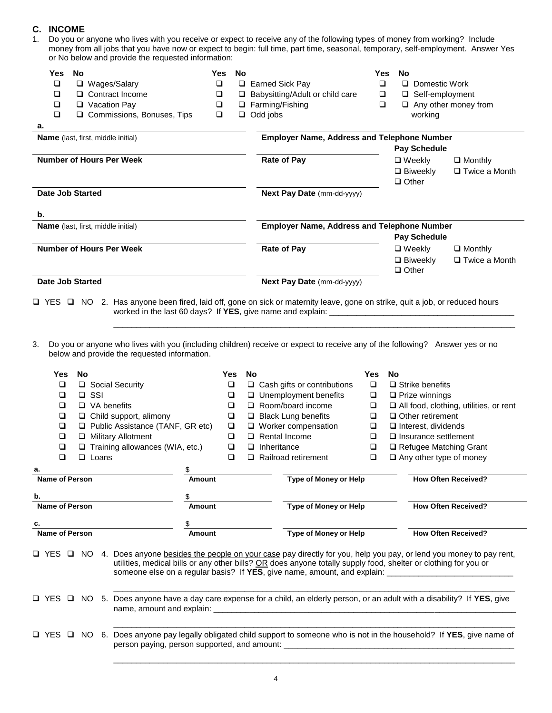# **C. INCOME**

| 1. Do you or anyone who lives with you receive or expect to receive any of the following types of money from working? Include    |  |
|----------------------------------------------------------------------------------------------------------------------------------|--|
| money from all jobs that you have now or expect to begin: full time, part time, seasonal, temporary, self-employment. Answer Yes |  |
| or No below and provide the requested information:                                                                               |  |

| Yes.<br>o<br>□<br>□<br>□<br>а. | <b>No</b><br>$\Box$ Wages/Salary<br>□ Contract Income<br>□ Vacation Pay<br>□ Commissions, Bonuses, Tips | Yes<br>$\Box$<br>□<br>❏<br>$\Box$ | <b>No</b>                         | $\Box$ Earned Sick Pay<br>□ Babysitting/Adult or child care<br>□ Farming/Fishing<br>$\Box$ Odd jobs | Yes<br>□<br>❏<br>❏ | No<br>Domestic Work<br>□ Self-employment<br>$\Box$ Any other money from<br>working |                      |
|--------------------------------|---------------------------------------------------------------------------------------------------------|-----------------------------------|-----------------------------------|-----------------------------------------------------------------------------------------------------|--------------------|------------------------------------------------------------------------------------|----------------------|
|                                | <b>Name</b> (last, first, middle initial)                                                               |                                   |                                   | <b>Employer Name, Address and Telephone Number</b>                                                  |                    |                                                                                    |                      |
|                                |                                                                                                         |                                   |                                   |                                                                                                     |                    | <b>Pay Schedule</b>                                                                |                      |
|                                | Number of Hours Per Week                                                                                |                                   |                                   | Rate of Pay                                                                                         |                    | $\square$ Weekly                                                                   | $\Box$ Monthly       |
|                                |                                                                                                         |                                   |                                   |                                                                                                     |                    | $\Box$ Biweekly<br>$\Box$ Other                                                    | $\Box$ Twice a Month |
| <b>Date Job Started</b>        |                                                                                                         |                                   | <b>Next Pay Date (mm-dd-yyyy)</b> |                                                                                                     |                    |                                                                                    |                      |
| b.                             |                                                                                                         |                                   |                                   |                                                                                                     |                    |                                                                                    |                      |
|                                | <b>Name</b> (last, first, middle initial)                                                               |                                   |                                   | <b>Employer Name, Address and Telephone Number</b>                                                  |                    |                                                                                    |                      |
|                                |                                                                                                         |                                   |                                   |                                                                                                     |                    | <b>Pay Schedule</b>                                                                |                      |
|                                | <b>Number of Hours Per Week</b>                                                                         |                                   |                                   | <b>Rate of Pay</b>                                                                                  |                    | $\Box$ Weekly                                                                      | $\Box$ Monthly       |
|                                |                                                                                                         |                                   |                                   |                                                                                                     |                    | $\Box$ Biweekly                                                                    | $\Box$ Twice a Month |
|                                |                                                                                                         |                                   |                                   |                                                                                                     |                    | $\Box$ Other                                                                       |                      |
| <b>Date Job Started</b>        |                                                                                                         |                                   | Next Pay Date (mm-dd-yyyy)        |                                                                                                     |                    |                                                                                    |                      |
|                                |                                                                                                         |                                   |                                   |                                                                                                     |                    |                                                                                    |                      |

 YES NO 2. Has anyone been fired, laid off, gone on sick or maternity leave, gone on strike, quit a job, or reduced hours worked in the last 60 days? If YES, give name and explain: \_\_\_ \_\_\_\_\_\_\_\_\_\_\_\_\_\_\_\_\_\_\_\_\_\_\_\_\_\_\_\_\_\_\_\_\_\_\_\_\_\_\_\_\_\_\_\_\_\_\_\_\_\_\_\_\_\_\_\_\_\_\_\_\_\_\_\_\_\_\_\_\_\_\_\_\_\_\_\_\_\_\_\_\_\_\_\_\_\_\_\_\_

3. Do you or anyone who lives with you (including children) receive or expect to receive any of the following? Answer yes or no below and provide the requested information.

| Yes                     | <b>No</b>  |              |                                                                                                                 | Yes                      | <b>No</b>                              |                                        | <b>Yes</b>            | <b>No</b>                                                                                                                     |
|-------------------------|------------|--------------|-----------------------------------------------------------------------------------------------------------------|--------------------------|----------------------------------------|----------------------------------------|-----------------------|-------------------------------------------------------------------------------------------------------------------------------|
| $\Box$                  |            |              | □ Social Security                                                                                               | $\Box$                   |                                        | $\Box$ Cash gifts or contributions     | $\Box$                | $\Box$ Strike benefits                                                                                                        |
| □                       | $\Box$ SSI |              | □                                                                                                               |                          | $\Box$ Unemployment benefits<br>$\Box$ |                                        | $\Box$ Prize winnings |                                                                                                                               |
| $\Box$ VA benefits<br>□ |            | □            |                                                                                                                 | $\Box$ Room/board income | $\Box$                                 | All food, clothing, utilities, or rent |                       |                                                                                                                               |
| $\Box$                  |            |              | $\Box$ Child support, alimony                                                                                   | $\Box$                   |                                        | $\Box$ Black Lung benefits             | $\Box$                | $\Box$ Other retirement                                                                                                       |
| $\Box$                  |            |              | Public Assistance (TANF, GR etc)                                                                                | $\Box$                   |                                        | $\Box$ Worker compensation             | $\Box$                | $\Box$ Interest, dividends                                                                                                    |
| □                       |            |              | Military Allotment                                                                                              | $\Box$                   |                                        | $\Box$ Rental Income                   | $\Box$                | $\Box$ Insurance settlement                                                                                                   |
| $\Box$                  |            |              | $\Box$ Training allowances (WIA, etc.)                                                                          | $\Box$                   |                                        | $\Box$ Inheritance                     | $\Box$                | □ Refugee Matching Grant                                                                                                      |
| $\Box$                  |            | $\Box$ Loans |                                                                                                                 | $\Box$                   |                                        | $\Box$ Railroad retirement             | $\Box$                | $\Box$ Any other type of money                                                                                                |
| a.                      |            |              |                                                                                                                 |                          |                                        |                                        |                       |                                                                                                                               |
| <b>Name of Person</b>   |            |              | <b>Amount</b>                                                                                                   |                          |                                        | <b>Type of Money or Help</b>           |                       | <b>How Often Received?</b>                                                                                                    |
| b.                      |            |              |                                                                                                                 |                          |                                        |                                        |                       |                                                                                                                               |
| Name of Person          |            |              | Amount                                                                                                          |                          |                                        | Type of Money or Help                  |                       | <b>How Often Received?</b>                                                                                                    |
|                         |            |              |                                                                                                                 |                          |                                        |                                        |                       |                                                                                                                               |
|                         |            |              |                                                                                                                 |                          |                                        |                                        |                       |                                                                                                                               |
| <b>Name of Person</b>   |            |              | Amount                                                                                                          |                          |                                        | <b>Type of Money or Help</b>           |                       | <b>How Often Received?</b>                                                                                                    |
| □ YES                   |            |              | utilities, medical bills or any other bills? OR does anyone totally supply food, shelter or clothing for you or |                          |                                        |                                        |                       | □ NO 4. Does anyone besides the people on your case pay directly for you, help you pay, or lend you money to pay rent,        |
|                         |            |              |                                                                                                                 |                          |                                        |                                        |                       | □ YES □ NO 5. Does anyone have a day care expense for a child, an elderly person, or an adult with a disability? If YES, give |
|                         |            |              |                                                                                                                 |                          |                                        |                                        |                       | □ YES □ NO 6. Does anyone pay legally obligated child support to someone who is not in the household? If YES, give name of    |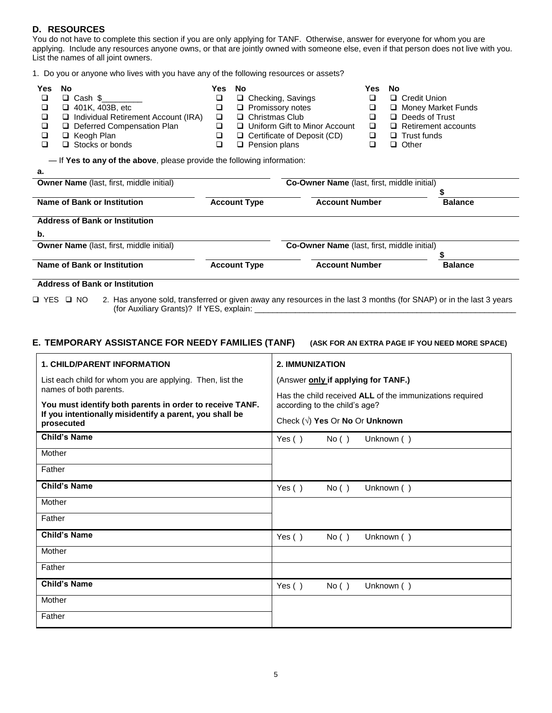# **D. RESOURCES**

You do not have to complete this section if you are only applying for TANF. Otherwise, answer for everyone for whom you are applying. Include any resources anyone owns, or that are jointly owned with someone else, even if that person does not live with you. List the names of all joint owners.

1. Do you or anyone who lives with you have any of the following resources or assets?

| Yes | No                                                                     | Yes | No                                 | Yes | No                         |  |  |  |
|-----|------------------------------------------------------------------------|-----|------------------------------------|-----|----------------------------|--|--|--|
|     | $\Box$ Cash \$                                                         |     | $\Box$ Checking, Savings           | ⊔   | □ Credit Union             |  |  |  |
|     | $\Box$ 401K, 403B, etc                                                 |     | $\Box$ Promissory notes            | ❏   | Money Market Funds         |  |  |  |
|     | □ Individual Retirement Account (IRA)                                  | □   | $\Box$ Christmas Club              | ┙   | $\Box$ Deeds of Trust      |  |  |  |
|     | Deferred Compensation Plan                                             |     | □ Uniform Gift to Minor Account    | □   | $\Box$ Retirement accounts |  |  |  |
|     | $\Box$ Keogh Plan                                                      |     | $\Box$ Certificate of Deposit (CD) | □   | $\Box$ Trust funds         |  |  |  |
|     | $\Box$ Stocks or bonds                                                 |     | $\Box$ Pension plans               |     | □ Other                    |  |  |  |
|     | -If Yes to any of the above, please provide the following information: |     |                                    |     |                            |  |  |  |
| а.  |                                                                        |     |                                    |     |                            |  |  |  |

| <b>Owner Name</b> (last, first, middle initial)       |                     | <b>Co-Owner Name</b> (last, first, middle initial) |                |
|-------------------------------------------------------|---------------------|----------------------------------------------------|----------------|
| Name of Bank or Institution                           | <b>Account Type</b> | <b>Account Number</b>                              | <b>Balance</b> |
| <b>Address of Bank or Institution</b>                 |                     |                                                    |                |
|                                                       |                     |                                                    |                |
|                                                       |                     |                                                    |                |
| b.<br><b>Owner Name</b> (last, first, middle initial) |                     | Co-Owner Name (last, first, middle initial)        |                |
|                                                       |                     |                                                    |                |

#### **Address of Bank or Institution**

□ YES □ NO 2. Has anyone sold, transferred or given away any resources in the last 3 months (for SNAP) or in the last 3 years (for Auxiliary Grants)? If YES, explain:

# **E. TEMPORARY ASSISTANCE FOR NEEDY FAMILIES (TANF) (ASK FOR AN EXTRA PAGE IF YOU NEED MORE SPACE)**

| <b>1. CHILD/PARENT INFORMATION</b>                                                                                                | <b>2. IMMUNIZATION</b>                                                                          |  |  |  |
|-----------------------------------------------------------------------------------------------------------------------------------|-------------------------------------------------------------------------------------------------|--|--|--|
| List each child for whom you are applying. Then, list the<br>names of both parents.                                               | (Answer only if applying for TANF.)<br>Has the child received ALL of the immunizations required |  |  |  |
| You must identify both parents in order to receive TANF.<br>If you intentionally misidentify a parent, you shall be<br>prosecuted | according to the child's age?<br>Check $(\sqrt{)}$ Yes Or No Or Unknown                         |  |  |  |
| <b>Child's Name</b>                                                                                                               | Unknown ()<br>Yes $( )$<br>No()                                                                 |  |  |  |
| Mother                                                                                                                            |                                                                                                 |  |  |  |
| Father                                                                                                                            |                                                                                                 |  |  |  |
| <b>Child's Name</b>                                                                                                               | Unknown ()<br>Yes $( )$<br>No()                                                                 |  |  |  |
| Mother                                                                                                                            |                                                                                                 |  |  |  |
| Father                                                                                                                            |                                                                                                 |  |  |  |
| <b>Child's Name</b>                                                                                                               | Unknown ()<br>Yes $( )$<br>No()                                                                 |  |  |  |
| Mother                                                                                                                            |                                                                                                 |  |  |  |
| Father                                                                                                                            |                                                                                                 |  |  |  |
| <b>Child's Name</b>                                                                                                               | Yes $( )$<br>Unknown ()<br>No()                                                                 |  |  |  |
| Mother                                                                                                                            |                                                                                                 |  |  |  |
| Father                                                                                                                            |                                                                                                 |  |  |  |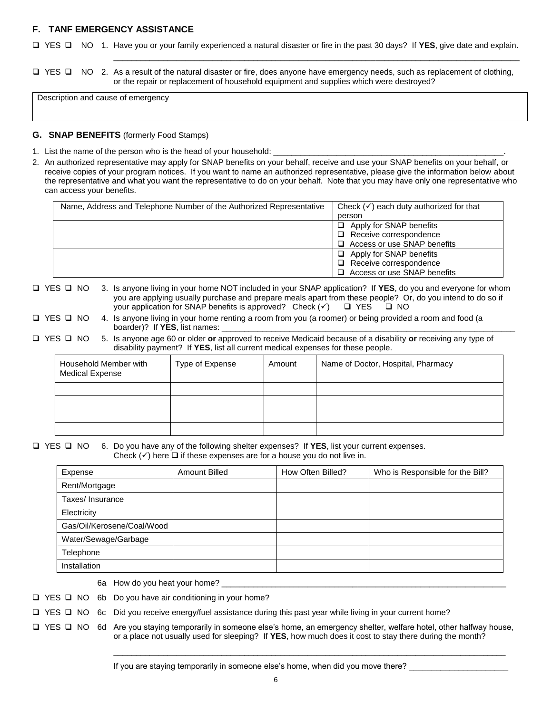# **F. TANF EMERGENCY ASSISTANCE**

□ YES □ NO 1. Have you or your family experienced a natural disaster or fire in the past 30 days? If **YES**, give date and explain.

\_\_\_\_\_\_\_\_\_\_\_\_\_\_\_\_\_\_\_\_\_\_\_\_\_\_\_\_\_\_\_\_\_\_\_\_\_\_\_\_\_\_\_\_\_\_\_\_\_\_\_\_\_\_\_\_\_\_\_\_\_\_\_\_\_\_\_\_\_\_\_\_\_\_\_\_\_\_\_\_\_\_\_\_\_\_\_\_\_\_

□ YES □ NO 2. As a result of the natural disaster or fire, does anyone have emergency needs, such as replacement of clothing, or the repair or replacement of household equipment and supplies which were destroyed?

Description and cause of emergency

### **G. SNAP BENEFITS** (formerly Food Stamps)

- 1. List the name of the person who is the head of your household:
- 2. An authorized representative may apply for SNAP benefits on your behalf, receive and use your SNAP benefits on your behalf, or receive copies of your program notices. If you want to name an authorized representative, please give the information below about the representative and what you want the representative to do on your behalf. Note that you may have only one representative who can access your benefits.

| Name, Address and Telephone Number of the Authorized Representative | Check $(v)$ each duty authorized for that |
|---------------------------------------------------------------------|-------------------------------------------|
|                                                                     | person                                    |
|                                                                     | Apply for SNAP benefits                   |
|                                                                     | $\Box$ Receive correspondence             |
|                                                                     | $\Box$ Access or use SNAP benefits        |
|                                                                     | Apply for SNAP benefits                   |
|                                                                     | $\Box$ Receive correspondence             |
|                                                                     | $\Box$ Access or use SNAP benefits        |

 YES NO 3. Is anyone living in your home NOT included in your SNAP application? If **YES**, do you and everyone for whom you are applying usually purchase and prepare meals apart from these people? Or, do you intend to do so if your application for SNAP benefits is approved? Check  $(v)$   $\Box$  YES  $\Box$  NO

|  | □ YES □ NO 4. Is anyone living in your home renting a room from you (a roomer) or being provided a room and food (a |
|--|---------------------------------------------------------------------------------------------------------------------|
|  | boarder)? If YES, list names:                                                                                       |

 YES NO 5. Is anyone age 60 or older **or** approved to receive Medicaid because of a disability **or** receiving any type of disability payment? If **YES**, list all current medical expenses for these people.

| Household Member with<br><b>Medical Expense</b> | Type of Expense | Amount | Name of Doctor, Hospital, Pharmacy |
|-------------------------------------------------|-----------------|--------|------------------------------------|
|                                                 |                 |        |                                    |
|                                                 |                 |        |                                    |
|                                                 |                 |        |                                    |
|                                                 |                 |        |                                    |

#### YES NO 6. Do you have any of the following shelter expenses? If **YES**, list your current expenses. Check  $(\checkmark)$  here  $\Box$  if these expenses are for a house you do not live in.

| Expense                    | <b>Amount Billed</b> | How Often Billed? | Who is Responsible for the Bill? |
|----------------------------|----------------------|-------------------|----------------------------------|
| Rent/Mortgage              |                      |                   |                                  |
| Taxes/Insurance            |                      |                   |                                  |
| Electricity                |                      |                   |                                  |
| Gas/Oil/Kerosene/Coal/Wood |                      |                   |                                  |
| Water/Sewage/Garbage       |                      |                   |                                  |
| Telephone                  |                      |                   |                                  |
| Installation               |                      |                   |                                  |

6a How do you heat your home?

 $\Box$  YES  $\Box$  NO 6b Do you have air conditioning in your home?

□ YES □ NO 6c Did you receive energy/fuel assistance during this past year while living in your current home?

 $\Box$  YES  $\Box$  NO 6d Are you staying temporarily in someone else's home, an emergency shelter, welfare hotel, other halfway house, or a place not usually used for sleeping? If **YES**, how much does it cost to stay there during the month?

\_\_\_\_\_\_\_\_\_\_\_\_\_\_\_\_\_\_\_\_\_\_\_\_\_\_\_\_\_\_\_\_\_\_\_\_\_\_\_\_\_\_\_\_\_\_\_\_\_\_\_\_\_\_\_\_\_\_\_\_\_\_\_\_\_\_\_\_\_\_\_\_\_\_\_\_\_\_\_\_\_\_\_\_\_\_\_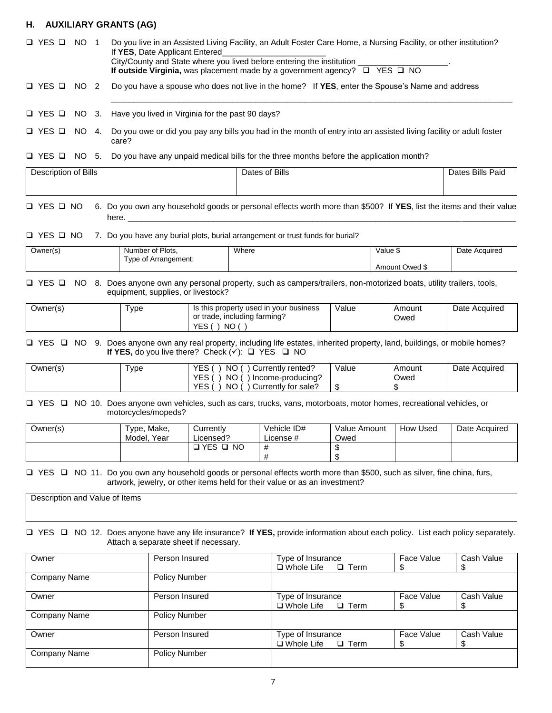# **H. AUXILIARY GRANTS (AG)**

□ YES □ NO 1 Do you live in an Assisted Living Facility, an Adult Foster Care Home, a Nursing Facility, or other institution? If **YES**, Date Applicant Entered City/County and State where you lived before entering the institution **If outside Virginia, was placement made by a government agency?** □ YES □ NO YES NO 2 Do you have a spouse who does not live in the home? If **YES**, enter the Spouse's Name and address \_\_\_\_\_\_\_\_\_\_\_\_\_\_\_\_\_\_\_\_\_\_\_\_\_\_\_\_\_\_\_\_\_\_\_\_\_\_\_\_\_\_\_\_\_\_\_\_\_\_\_\_\_\_\_\_\_\_\_\_\_\_\_\_\_\_\_\_\_\_\_\_\_\_\_\_\_\_\_\_\_\_\_\_\_\_\_\_\_  $\Box$  YES  $\Box$  NO 3. Have you lived in Virginia for the past 90 days?

□ YES □ NO 4. Do you owe or did you pay any bills you had in the month of entry into an assisted living facility or adult foster care?

#### $\Box$  YES  $\Box$  NO 5. Do you have any unpaid medical bills for the three months before the application month?

| Description of Bills | Dates of Bills | <b>Bills Paid</b><br>Dates |
|----------------------|----------------|----------------------------|
|                      |                |                            |
|                      |                |                            |

 YES NO 6. Do you own any household goods or personal effects worth more than \$500? If **YES**, list the items and their value here. \_\_\_\_\_\_\_\_\_\_\_\_\_\_\_\_\_\_\_\_\_\_\_\_\_\_\_\_\_\_\_\_\_\_\_\_\_\_\_\_\_\_\_\_\_\_\_\_\_\_\_\_\_\_\_\_\_\_\_\_\_\_\_\_\_\_\_\_\_\_\_\_\_\_\_\_\_\_\_\_\_\_\_\_\_\_

#### $\Box$  YES  $\Box$  NO 7. Do you have any burial plots, burial arrangement or trust funds for burial?

| Jwner(s) | Number of Plots,     | Where | Malue ა        | Date Acquired |
|----------|----------------------|-------|----------------|---------------|
|          | Type of Arrangement: |       |                |               |
|          |                      |       | Amount Owed \$ |               |

#### □ YES □ NO 8. Does anyone own any personal property, such as campers/trailers, non-motorized boats, utility trailers, tools, equipment, supplies, or livestock?

| Owner(s) | 'ype | Is this property used in your business | Value | Amount | Date Acquired |
|----------|------|----------------------------------------|-------|--------|---------------|
|          |      | or trade, including farming?           |       | Owed   |               |
|          |      | NO.<br>YES                             |       |        |               |

#### □ YES □ NO 9. Does anyone own any real property, including life estates, inherited property, land, buildings, or mobile homes? **If YES,** do you live there? Check  $(v)$ :  $\Box$  YES  $\Box$  NO

| Owner(s) | 'ype | VEC<br>NO<br>/ rented?<br>Currently<br>∼       | Value | Amount  | Date Acquired |
|----------|------|------------------------------------------------|-------|---------|---------------|
|          |      | NO<br>VE'<br>Income-producing?<br>└            |       | Owed    |               |
|          |      | <b>NO</b><br><b>YES</b><br>Currently for sale? | - 11  | æ<br>ה. |               |

□ YES □ NO 10. Does anyone own vehicles, such as cars, trucks, vans, motorboats, motor homes, recreational vehicles, or motorcycles/mopeds?

| Owner(s) | Type, Make,<br>Year<br>Model. | Currentlv<br>Licensed? | Vehicle ID#<br>License # | Value Amount<br>Owed | How Used | Date Acquired |
|----------|-------------------------------|------------------------|--------------------------|----------------------|----------|---------------|
|          |                               | ר YES<br><b>NO</b>     | #                        | - 13                 |          |               |

#### □ YES □ NO 11. Do you own any household goods or personal effects worth more than \$500, such as silver, fine china, furs, artwork, jewelry, or other items held for their value or as an investment?

Description and Value of Items

#### YES NO 12. Does anyone have any life insurance? **If YES,** provide information about each policy. List each policy separately. Attach a separate sheet if necessary.

| Owner        | Person Insured       | Type of Insurance             | Face Value | Cash Value |
|--------------|----------------------|-------------------------------|------------|------------|
|              |                      | $\Box$ Whole Life $\Box$ Term |            | \$         |
| Company Name | <b>Policy Number</b> |                               |            |            |
| Owner        | Person Insured       | Type of Insurance             | Face Value | Cash Value |
|              |                      | $\Box$ Whole Life $\Box$ Term |            | \$         |
| Company Name | <b>Policy Number</b> |                               |            |            |
| Owner        | Person Insured       | Type of Insurance             | Face Value | Cash Value |
|              |                      | $\Box$ Whole Life $\Box$ Term |            | \$         |
| Company Name | <b>Policy Number</b> |                               |            |            |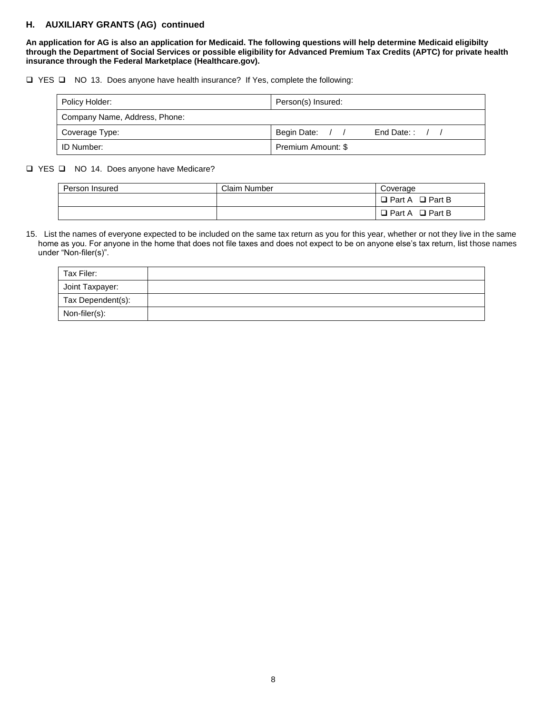# **H. AUXILIARY GRANTS (AG) continued**

**An application for AG is also an application for Medicaid. The following questions will help determine Medicaid eligibilty through the Department of Social Services or possible eligibility for Advanced Premium Tax Credits (APTC) for private health insurance through the Federal Marketplace (Healthcare.gov).**

YES NO 13. Does anyone have health insurance? If Yes, complete the following:

| Policy Holder:                | Person(s) Insured:              |
|-------------------------------|---------------------------------|
| Company Name, Address, Phone: |                                 |
| Coverage Type:                | Begin Date: / /<br>End Date:: / |
| ID Number:                    | Premium Amount: \$              |

□ YES □ NO 14. Does anyone have Medicare?

| Person Insured | Claim Number | Coverage                  |
|----------------|--------------|---------------------------|
|                |              | □ Part A<br>$\Box$ Part B |
|                |              | □ Part A<br>$\Box$ Part B |

15. List the names of everyone expected to be included on the same tax return as you for this year, whether or not they live in the same home as you. For anyone in the home that does not file taxes and does not expect to be on anyone else's tax return, list those names under "Non-filer(s)".

| Tax Filer:        |  |
|-------------------|--|
| Joint Taxpayer:   |  |
| Tax Dependent(s): |  |
| Non-filer(s):     |  |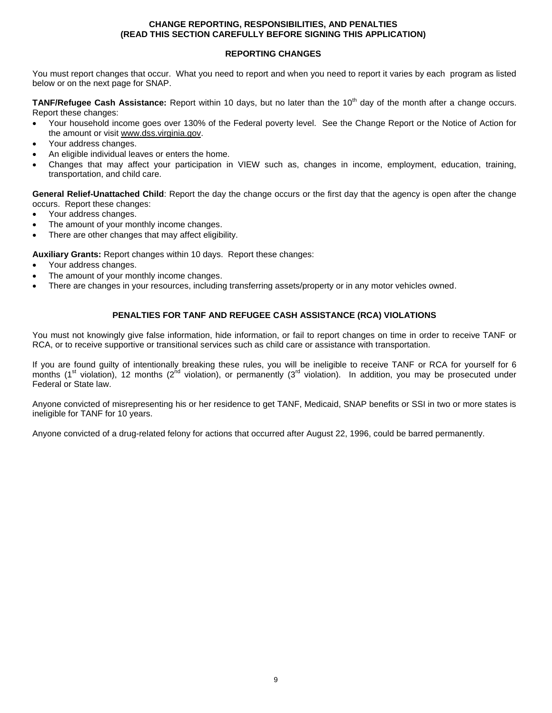## **CHANGE REPORTING, RESPONSIBILITIES, AND PENALTIES (READ THIS SECTION CAREFULLY BEFORE SIGNING THIS APPLICATION)**

### **REPORTING CHANGES**

You must report changes that occur. What you need to report and when you need to report it varies by each program as listed below or on the next page for SNAP.

**TANF/Refugee Cash Assistance:** Report within 10 days, but no later than the 10<sup>th</sup> day of the month after a change occurs. Report these changes:

- Your household income goes over 130% of the Federal poverty level. See the Change Report or the Notice of Action for the amount or visit www.dss.virginia.gov.
- Your address changes.
- An eligible individual leaves or enters the home.
- Changes that may affect your participation in VIEW such as, changes in income, employment, education, training, transportation, and child care.

**General Relief-Unattached Child**: Report the day the change occurs or the first day that the agency is open after the change occurs. Report these changes:

- Your address changes.
- The amount of your monthly income changes.
- There are other changes that may affect eligibility.

**Auxiliary Grants:** Report changes within 10 days. Report these changes:

- Your address changes.
- The amount of your monthly income changes.
- There are changes in your resources, including transferring assets/property or in any motor vehicles owned.

### **PENALTIES FOR TANF AND REFUGEE CASH ASSISTANCE (RCA) VIOLATIONS**

You must not knowingly give false information, hide information, or fail to report changes on time in order to receive TANF or RCA, or to receive supportive or transitional services such as child care or assistance with transportation.

If you are found guilty of intentionally breaking these rules, you will be ineligible to receive TANF or RCA for yourself for 6 months (1<sup>st</sup> violation), 12 months (2<sup>nd</sup> violation), or permanently (3<sup>rd</sup> violation). In addition, you may be prosecuted under Federal or State law.

Anyone convicted of misrepresenting his or her residence to get TANF, Medicaid, SNAP benefits or SSI in two or more states is ineligible for TANF for 10 years.

Anyone convicted of a drug-related felony for actions that occurred after August 22, 1996, could be barred permanently.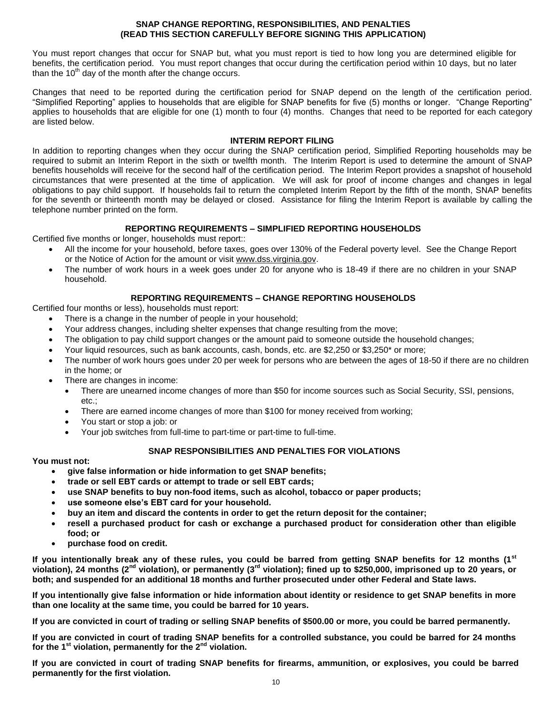### **SNAP CHANGE REPORTING, RESPONSIBILITIES, AND PENALTIES (READ THIS SECTION CAREFULLY BEFORE SIGNING THIS APPLICATION)**

You must report changes that occur for SNAP but, what you must report is tied to how long you are determined eligible for benefits, the certification period. You must report changes that occur during the certification period within 10 days, but no later than the  $10<sup>th</sup>$  day of the month after the change occurs.

Changes that need to be reported during the certification period for SNAP depend on the length of the certification period. "Simplified Reporting" applies to households that are eligible for SNAP benefits for five (5) months or longer. "Change Reporting" applies to households that are eligible for one (1) month to four (4) months. Changes that need to be reported for each category are listed below.

### **INTERIM REPORT FILING**

In addition to reporting changes when they occur during the SNAP certification period, Simplified Reporting households may be required to submit an Interim Report in the sixth or twelfth month. The Interim Report is used to determine the amount of SNAP benefits households will receive for the second half of the certification period. The Interim Report provides a snapshot of household circumstances that were presented at the time of application. We will ask for proof of income changes and changes in legal obligations to pay child support. If households fail to return the completed Interim Report by the fifth of the month, SNAP benefits for the seventh or thirteenth month may be delayed or closed. Assistance for filing the Interim Report is available by calling the telephone number printed on the form.

### **REPORTING REQUIREMENTS – SIMPLIFIED REPORTING HOUSEHOLDS**

Certified five months or longer, households must report::

- All the income for your household, before taxes, goes over 130% of the Federal poverty level. See the Change Report or the Notice of Action for the amount or visit www.dss.virginia.gov.
- The number of work hours in a week goes under 20 for anyone who is 18-49 if there are no children in your SNAP household.

### **REPORTING REQUIREMENTS – CHANGE REPORTING HOUSEHOLDS**

Certified four months or less), households must report:

- There is a change in the number of people in your household;
- Your address changes, including shelter expenses that change resulting from the move;
- The obligation to pay child support changes or the amount paid to someone outside the household changes;
- Your liquid resources, such as bank accounts, cash, bonds, etc. are \$2,250 or \$3,250\* or more;
- The number of work hours goes under 20 per week for persons who are between the ages of 18-50 if there are no children in the home; or
- There are changes in income:
	- There are unearned income changes of more than \$50 for income sources such as Social Security, SSI, pensions, etc.;
	- There are earned income changes of more than \$100 for money received from working;
	- You start or stop a job: or
	- Your job switches from full-time to part-time or part-time to full-time.

### **SNAP RESPONSIBILITIES AND PENALTIES FOR VIOLATIONS**

### **You must not:**

- **give false information or hide information to get SNAP benefits;**
- **trade or sell EBT cards or attempt to trade or sell EBT cards;**
- **use SNAP benefits to buy non-food items, such as alcohol, tobacco or paper products;**
- **use someone else's EBT card for your household.**
- **buy an item and discard the contents in order to get the return deposit for the container;**
- **resell a purchased product for cash or exchange a purchased product for consideration other than eligible food; or**
- **purchase food on credit.**

**If you intentionally break any of these rules, you could be barred from getting SNAP benefits for 12 months (1st violation), 24 months (2nd violation), or permanently (3rd violation); fined up to \$250,000, imprisoned up to 20 years, or both; and suspended for an additional 18 months and further prosecuted under other Federal and State laws.**

**If you intentionally give false information or hide information about identity or residence to get SNAP benefits in more than one locality at the same time, you could be barred for 10 years.**

**If you are convicted in court of trading or selling SNAP benefits of \$500.00 or more, you could be barred permanently.**

**If you are convicted in court of trading SNAP benefits for a controlled substance, you could be barred for 24 months for the 1st violation, permanently for the 2nd violation.**

**If you are convicted in court of trading SNAP benefits for firearms, ammunition, or explosives, you could be barred permanently for the first violation.**